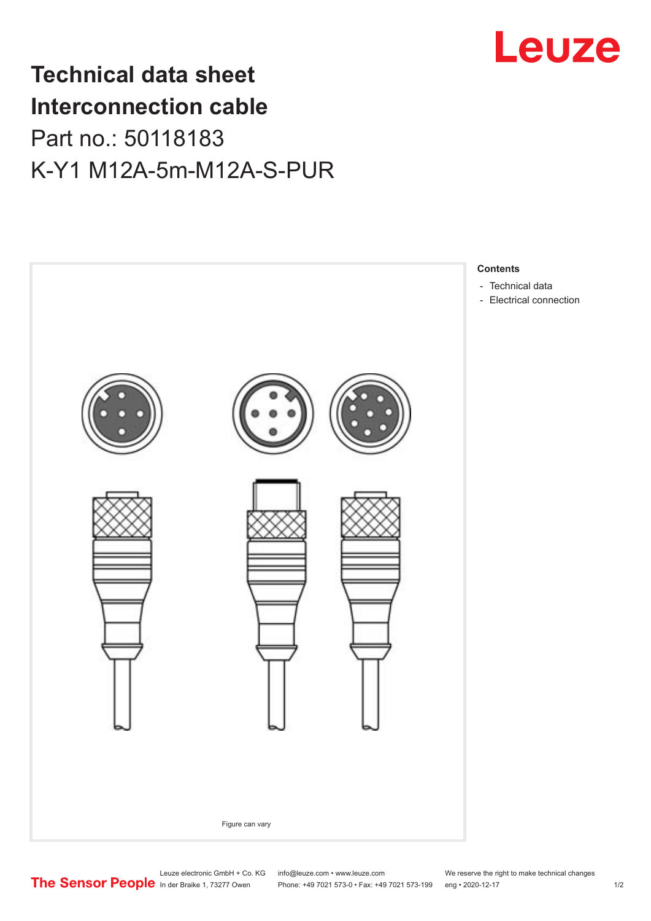

## **Technical data sheet Interconnection cable** Part no.: 50118183 K-Y1 M12A-5m-M12A-S-PUR



Phone: +49 7021 573-0 • Fax: +49 7021 573-199 eng • 2020-12-17